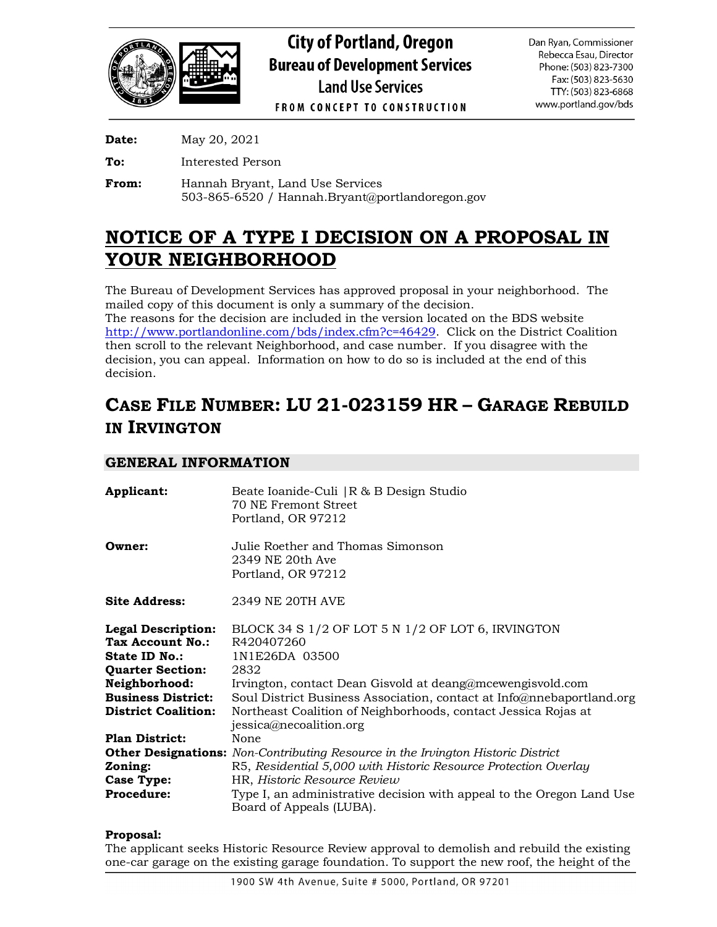

**Date:** May 20, 2021

**To:** Interested Person

**From:** Hannah Bryant, Land Use Services 503-865-6520 / Hannah.Bryant@portlandoregon.gov

# **NOTICE OF A TYPE I DECISION ON A PROPOSAL IN YOUR NEIGHBORHOOD**

The Bureau of Development Services has approved proposal in your neighborhood. The mailed copy of this document is only a summary of the decision.

The reasons for the decision are included in the version located on the BDS website [http://www.portlandonline.com/bds/index.cfm?c=46429.](http://www.portlandonline.com/bds/index.cfm?c=46429) Click on the District Coalition then scroll to the relevant Neighborhood, and case number. If you disagree with the decision, you can appeal. Information on how to do so is included at the end of this decision.

# **CASE FILE NUMBER: LU 21-023159 HR – GARAGE REBUILD IN IRVINGTON**

# **GENERAL INFORMATION**

| Applicant:                                                                                                                                                            | Beate Ioanide-Culi   R & B Design Studio<br>70 NE Fremont Street<br>Portland, OR 97212                                                                                                                                                                                                                                        |
|-----------------------------------------------------------------------------------------------------------------------------------------------------------------------|-------------------------------------------------------------------------------------------------------------------------------------------------------------------------------------------------------------------------------------------------------------------------------------------------------------------------------|
| Owner:                                                                                                                                                                | Julie Roether and Thomas Simonson<br>2349 NE 20th Ave<br>Portland, OR 97212                                                                                                                                                                                                                                                   |
| <b>Site Address:</b>                                                                                                                                                  | 2349 NE 20TH AVE                                                                                                                                                                                                                                                                                                              |
| <b>Legal Description:</b><br>Tax Account No.:<br>State ID No.:<br><b>Quarter Section:</b><br>Neighborhood:<br><b>Business District:</b><br><b>District Coalition:</b> | BLOCK 34 S 1/2 OF LOT 5 N 1/2 OF LOT 6, IRVINGTON<br>R420407260<br>1N1E26DA 03500<br>2832<br>Irvington, contact Dean Gisvold at deang@mcewengisvold.com<br>Soul District Business Association, contact at Info@nnebaportland.org<br>Northeast Coalition of Neighborhoods, contact Jessica Rojas at<br>jessica@necoalition.org |
| <b>Plan District:</b>                                                                                                                                                 | None                                                                                                                                                                                                                                                                                                                          |
|                                                                                                                                                                       | <b>Other Designations:</b> Non-Contributing Resource in the Irvington Historic District                                                                                                                                                                                                                                       |
| Zoning:                                                                                                                                                               | R5, Residential 5,000 with Historic Resource Protection Overlay                                                                                                                                                                                                                                                               |
| Case Type:                                                                                                                                                            | HR, Historic Resource Review                                                                                                                                                                                                                                                                                                  |
| <b>Procedure:</b>                                                                                                                                                     | Type I, an administrative decision with appeal to the Oregon Land Use<br>Board of Appeals (LUBA).                                                                                                                                                                                                                             |

## **Proposal:**

The applicant seeks Historic Resource Review approval to demolish and rebuild the existing one-car garage on the existing garage foundation. To support the new roof, the height of the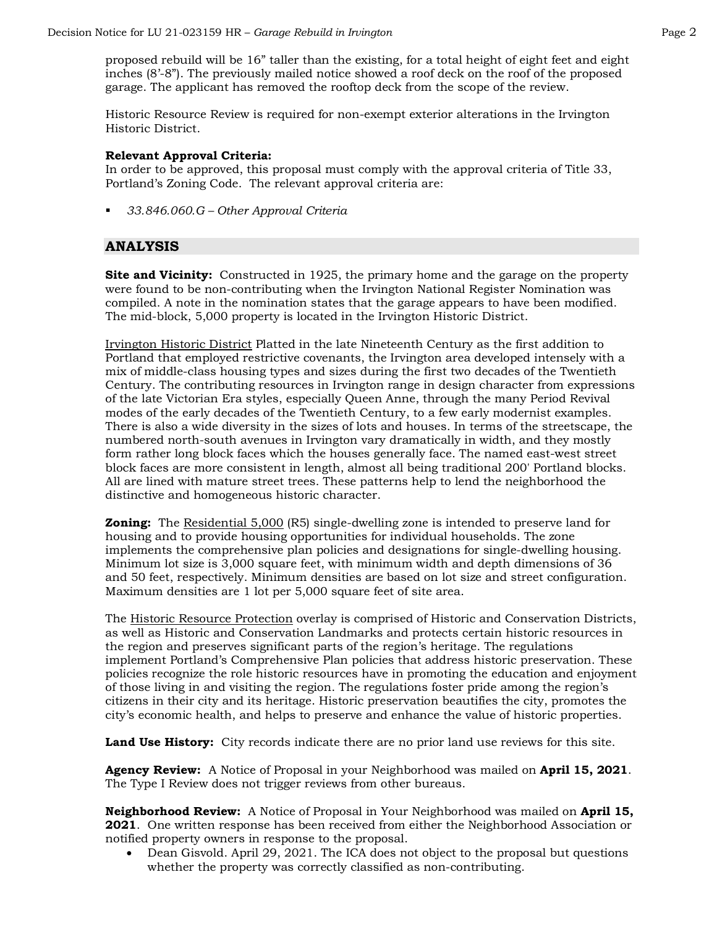proposed rebuild will be 16" taller than the existing, for a total height of eight feet and eight inches (8'-8"). The previously mailed notice showed a roof deck on the roof of the proposed garage. The applicant has removed the rooftop deck from the scope of the review.

Historic Resource Review is required for non-exempt exterior alterations in the Irvington Historic District.

#### **Relevant Approval Criteria:**

In order to be approved, this proposal must comply with the approval criteria of Title 33, Portland's Zoning Code. The relevant approval criteria are:

*33.846.060.G – Other Approval Criteria*

## **ANALYSIS**

**Site and Vicinity:** Constructed in 1925, the primary home and the garage on the property were found to be non-contributing when the Irvington National Register Nomination was compiled. A note in the nomination states that the garage appears to have been modified. The mid-block, 5,000 property is located in the Irvington Historic District.

Irvington Historic District Platted in the late Nineteenth Century as the first addition to Portland that employed restrictive covenants, the Irvington area developed intensely with a mix of middle-class housing types and sizes during the first two decades of the Twentieth Century. The contributing resources in Irvington range in design character from expressions of the late Victorian Era styles, especially Queen Anne, through the many Period Revival modes of the early decades of the Twentieth Century, to a few early modernist examples. There is also a wide diversity in the sizes of lots and houses. In terms of the streetscape, the numbered north-south avenues in Irvington vary dramatically in width, and they mostly form rather long block faces which the houses generally face. The named east-west street block faces are more consistent in length, almost all being traditional 200' Portland blocks. All are lined with mature street trees. These patterns help to lend the neighborhood the distinctive and homogeneous historic character.

**Zoning:** The Residential 5,000 (R5) single-dwelling zone is intended to preserve land for housing and to provide housing opportunities for individual households. The zone implements the comprehensive plan policies and designations for single-dwelling housing. Minimum lot size is 3,000 square feet, with minimum width and depth dimensions of 36 and 50 feet, respectively. Minimum densities are based on lot size and street configuration. Maximum densities are 1 lot per 5,000 square feet of site area.

The Historic Resource Protection overlay is comprised of Historic and Conservation Districts, as well as Historic and Conservation Landmarks and protects certain historic resources in the region and preserves significant parts of the region's heritage. The regulations implement Portland's Comprehensive Plan policies that address historic preservation. These policies recognize the role historic resources have in promoting the education and enjoyment of those living in and visiting the region. The regulations foster pride among the region's citizens in their city and its heritage. Historic preservation beautifies the city, promotes the city's economic health, and helps to preserve and enhance the value of historic properties.

Land Use History: City records indicate there are no prior land use reviews for this site.

**Agency Review:** A Notice of Proposal in your Neighborhood was mailed on **April 15, 2021**. The Type I Review does not trigger reviews from other bureaus.

**Neighborhood Review:** A Notice of Proposal in Your Neighborhood was mailed on **April 15, 2021**. One written response has been received from either the Neighborhood Association or notified property owners in response to the proposal.

• Dean Gisvold. April 29, 2021. The ICA does not object to the proposal but questions whether the property was correctly classified as non-contributing.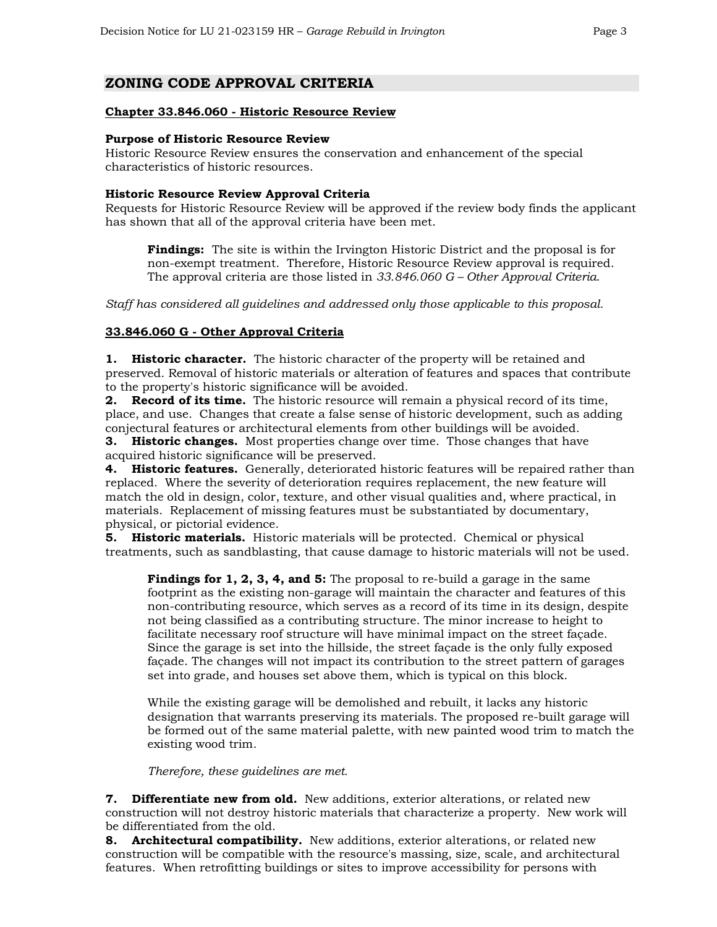# **ZONING CODE APPROVAL CRITERIA**

#### **Chapter 33.846.060 - Historic Resource Review**

#### **Purpose of Historic Resource Review**

Historic Resource Review ensures the conservation and enhancement of the special characteristics of historic resources.

#### **Historic Resource Review Approval Criteria**

Requests for Historic Resource Review will be approved if the review body finds the applicant has shown that all of the approval criteria have been met.

**Findings:** The site is within the Irvington Historic District and the proposal is for non-exempt treatment. Therefore, Historic Resource Review approval is required. The approval criteria are those listed in *33.846.060 G – Other Approval Criteria*.

*Staff has considered all guidelines and addressed only those applicable to this proposal.*

#### **33.846.060 G - Other Approval Criteria**

**1. Historic character.** The historic character of the property will be retained and preserved. Removal of historic materials or alteration of features and spaces that contribute to the property's historic significance will be avoided.

**2. Record of its time.** The historic resource will remain a physical record of its time, place, and use. Changes that create a false sense of historic development, such as adding conjectural features or architectural elements from other buildings will be avoided.

**3. Historic changes.** Most properties change over time. Those changes that have acquired historic significance will be preserved.

**4. Historic features.** Generally, deteriorated historic features will be repaired rather than replaced. Where the severity of deterioration requires replacement, the new feature will match the old in design, color, texture, and other visual qualities and, where practical, in materials. Replacement of missing features must be substantiated by documentary, physical, or pictorial evidence.

**5. Historic materials.** Historic materials will be protected. Chemical or physical treatments, such as sandblasting, that cause damage to historic materials will not be used.

**Findings for 1, 2, 3, 4, and 5:** The proposal to re-build a garage in the same footprint as the existing non-garage will maintain the character and features of this non-contributing resource, which serves as a record of its time in its design, despite not being classified as a contributing structure. The minor increase to height to facilitate necessary roof structure will have minimal impact on the street façade. Since the garage is set into the hillside, the street façade is the only fully exposed façade. The changes will not impact its contribution to the street pattern of garages set into grade, and houses set above them, which is typical on this block.

While the existing garage will be demolished and rebuilt, it lacks any historic designation that warrants preserving its materials. The proposed re-built garage will be formed out of the same material palette, with new painted wood trim to match the existing wood trim.

*Therefore, these guidelines are met.*

**7. Differentiate new from old.** New additions, exterior alterations, or related new construction will not destroy historic materials that characterize a property. New work will be differentiated from the old.

**8. Architectural compatibility.** New additions, exterior alterations, or related new construction will be compatible with the resource's massing, size, scale, and architectural features. When retrofitting buildings or sites to improve accessibility for persons with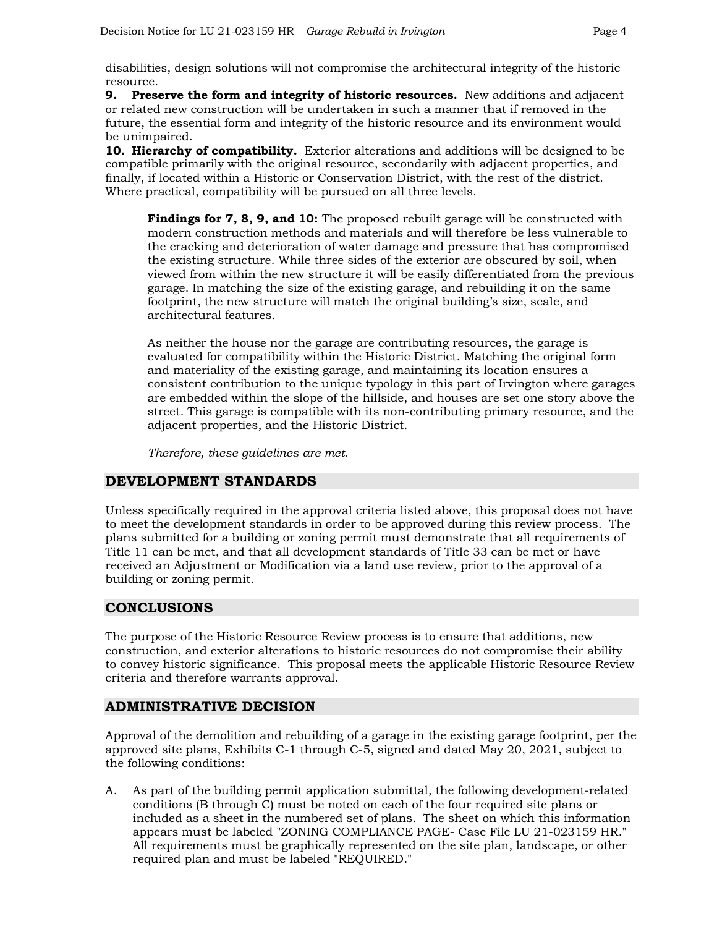disabilities, design solutions will not compromise the architectural integrity of the historic resource.

**9. Preserve the form and integrity of historic resources.** New additions and adjacent or related new construction will be undertaken in such a manner that if removed in the future, the essential form and integrity of the historic resource and its environment would be unimpaired.

**10. Hierarchy of compatibility.** Exterior alterations and additions will be designed to be compatible primarily with the original resource, secondarily with adjacent properties, and finally, if located within a Historic or Conservation District, with the rest of the district. Where practical, compatibility will be pursued on all three levels.

**Findings for 7, 8, 9, and 10:** The proposed rebuilt garage will be constructed with modern construction methods and materials and will therefore be less vulnerable to the cracking and deterioration of water damage and pressure that has compromised the existing structure. While three sides of the exterior are obscured by soil, when viewed from within the new structure it will be easily differentiated from the previous garage. In matching the size of the existing garage, and rebuilding it on the same footprint, the new structure will match the original building's size, scale, and architectural features.

As neither the house nor the garage are contributing resources, the garage is evaluated for compatibility within the Historic District. Matching the original form and materiality of the existing garage, and maintaining its location ensures a consistent contribution to the unique typology in this part of Irvington where garages are embedded within the slope of the hillside, and houses are set one story above the street. This garage is compatible with its non-contributing primary resource, and the adjacent properties, and the Historic District.

*Therefore, these guidelines are met.* 

## **DEVELOPMENT STANDARDS**

Unless specifically required in the approval criteria listed above, this proposal does not have to meet the development standards in order to be approved during this review process. The plans submitted for a building or zoning permit must demonstrate that all requirements of Title 11 can be met, and that all development standards of Title 33 can be met or have received an Adjustment or Modification via a land use review, prior to the approval of a building or zoning permit.

# **CONCLUSIONS**

The purpose of the Historic Resource Review process is to ensure that additions, new construction, and exterior alterations to historic resources do not compromise their ability to convey historic significance. This proposal meets the applicable Historic Resource Review criteria and therefore warrants approval.

# **ADMINISTRATIVE DECISION**

Approval of the demolition and rebuilding of a garage in the existing garage footprint, per the approved site plans, Exhibits C-1 through C-5, signed and dated May 20, 2021, subject to the following conditions:

A. As part of the building permit application submittal, the following development-related conditions (B through C) must be noted on each of the four required site plans or included as a sheet in the numbered set of plans. The sheet on which this information appears must be labeled "ZONING COMPLIANCE PAGE- Case File LU 21-023159 HR." All requirements must be graphically represented on the site plan, landscape, or other required plan and must be labeled "REQUIRED."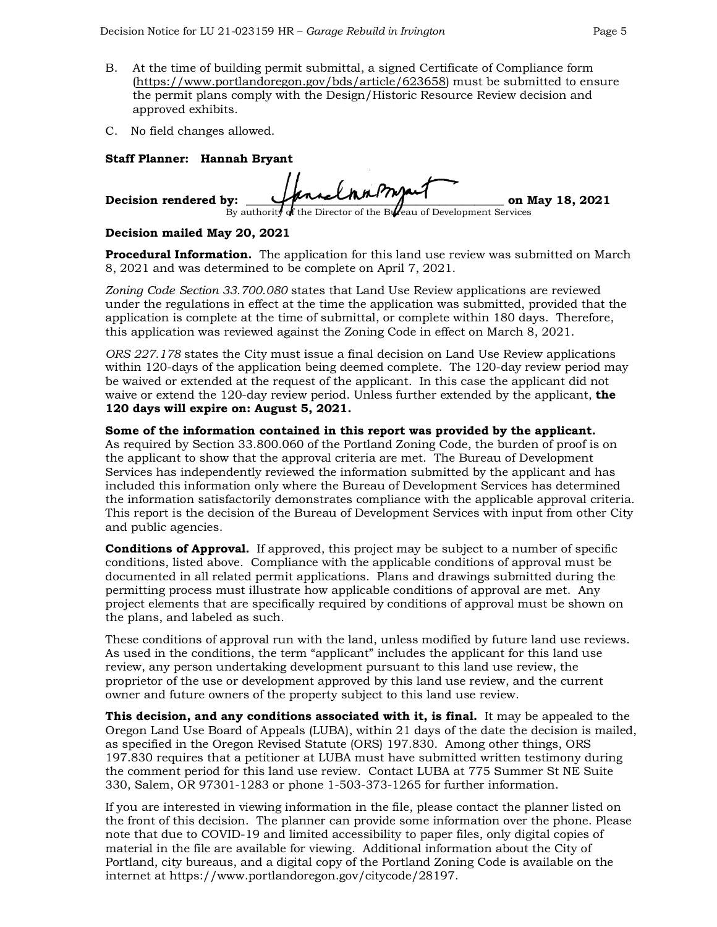- B. At the time of building permit submittal, a signed Certificate of Compliance form [\(https://www.portlandoregon.gov/bds/article/623658\)](https://www.portlandoregon.gov/bds/article/623658) must be submitted to ensure the permit plans comply with the Design/Historic Resource Review decision and approved exhibits.
- C. No field changes allowed.

### **Staff Planner: Hannah Bryant**

| Decision rendered by: | HannelmanProsant |  |                                                                    | on May 18, 2021 |
|-----------------------|------------------|--|--------------------------------------------------------------------|-----------------|
|                       |                  |  | By authority of the Director of the Bureau of Development Services |                 |

### **Decision mailed May 20, 2021**

**Procedural Information.** The application for this land use review was submitted on March 8, 2021 and was determined to be complete on April 7, 2021.

*Zoning Code Section 33.700.080* states that Land Use Review applications are reviewed under the regulations in effect at the time the application was submitted, provided that the application is complete at the time of submittal, or complete within 180 days. Therefore, this application was reviewed against the Zoning Code in effect on March 8, 2021.

*ORS 227.178* states the City must issue a final decision on Land Use Review applications within 120-days of the application being deemed complete. The 120-day review period may be waived or extended at the request of the applicant. In this case the applicant did not waive or extend the 120-day review period. Unless further extended by the applicant, **the 120 days will expire on: August 5, 2021.**

**Some of the information contained in this report was provided by the applicant.**  As required by Section 33.800.060 of the Portland Zoning Code, the burden of proof is on the applicant to show that the approval criteria are met. The Bureau of Development Services has independently reviewed the information submitted by the applicant and has included this information only where the Bureau of Development Services has determined the information satisfactorily demonstrates compliance with the applicable approval criteria. This report is the decision of the Bureau of Development Services with input from other City and public agencies.

**Conditions of Approval.** If approved, this project may be subject to a number of specific conditions, listed above. Compliance with the applicable conditions of approval must be documented in all related permit applications. Plans and drawings submitted during the permitting process must illustrate how applicable conditions of approval are met. Any project elements that are specifically required by conditions of approval must be shown on the plans, and labeled as such.

These conditions of approval run with the land, unless modified by future land use reviews. As used in the conditions, the term "applicant" includes the applicant for this land use review, any person undertaking development pursuant to this land use review, the proprietor of the use or development approved by this land use review, and the current owner and future owners of the property subject to this land use review.

**This decision, and any conditions associated with it, is final.** It may be appealed to the Oregon Land Use Board of Appeals (LUBA), within 21 days of the date the decision is mailed, as specified in the Oregon Revised Statute (ORS) 197.830. Among other things, ORS 197.830 requires that a petitioner at LUBA must have submitted written testimony during the comment period for this land use review. Contact LUBA at 775 Summer St NE Suite 330, Salem, OR 97301-1283 or phone 1-503-373-1265 for further information.

If you are interested in viewing information in the file, please contact the planner listed on the front of this decision. The planner can provide some information over the phone. Please note that due to COVID-19 and limited accessibility to paper files, only digital copies of material in the file are available for viewing. Additional information about the City of Portland, city bureaus, and a digital copy of the Portland Zoning Code is available on the internet at [https://www.portlandoregon.gov/citycode/28197.](https://www.portlandoregon.gov/citycode/28197)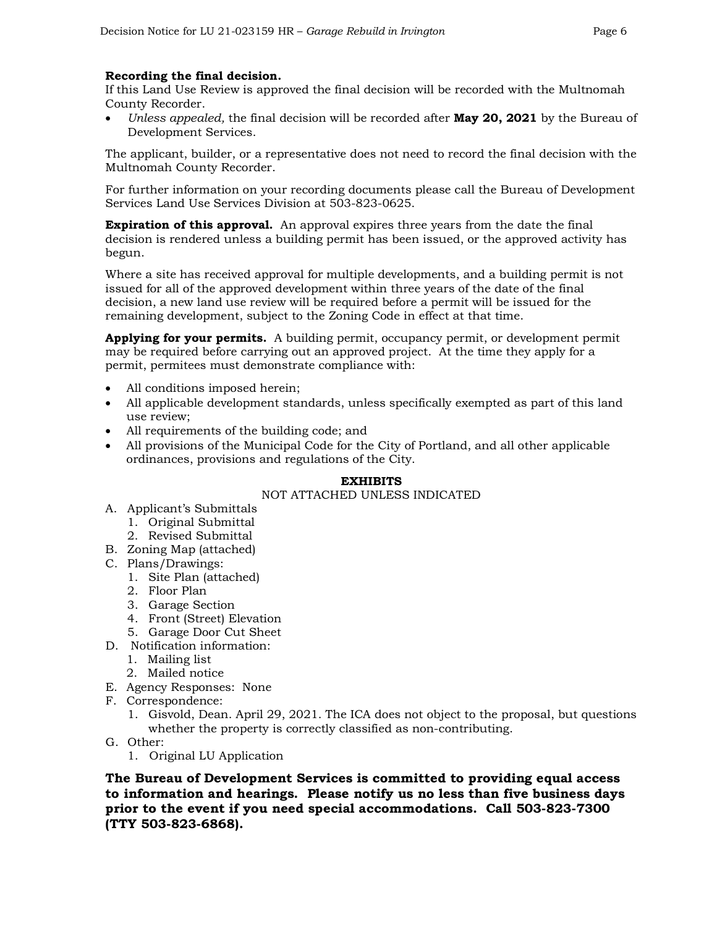### **Recording the final decision.**

If this Land Use Review is approved the final decision will be recorded with the Multnomah County Recorder.

• *Unless appealed,* the final decision will be recorded after **May 20, 2021** by the Bureau of Development Services.

The applicant, builder, or a representative does not need to record the final decision with the Multnomah County Recorder.

For further information on your recording documents please call the Bureau of Development Services Land Use Services Division at 503-823-0625.

**Expiration of this approval.** An approval expires three years from the date the final decision is rendered unless a building permit has been issued, or the approved activity has begun.

Where a site has received approval for multiple developments, and a building permit is not issued for all of the approved development within three years of the date of the final decision, a new land use review will be required before a permit will be issued for the remaining development, subject to the Zoning Code in effect at that time.

**Applying for your permits.** A building permit, occupancy permit, or development permit may be required before carrying out an approved project. At the time they apply for a permit, permitees must demonstrate compliance with:

- All conditions imposed herein;
- All applicable development standards, unless specifically exempted as part of this land use review;
- All requirements of the building code; and
- All provisions of the Municipal Code for the City of Portland, and all other applicable ordinances, provisions and regulations of the City.

#### **EXHIBITS**

#### NOT ATTACHED UNLESS INDICATED

- A. Applicant's Submittals
	- 1. Original Submittal
	- 2. Revised Submittal
- B. Zoning Map (attached)
- C. Plans/Drawings:
	- 1. Site Plan (attached)
	- 2. Floor Plan
	- 3. Garage Section
	- 4. Front (Street) Elevation
	- 5. Garage Door Cut Sheet
- D. Notification information:
	- 1. Mailing list
	- 2. Mailed notice
- E. Agency Responses: None
- F. Correspondence:
	- 1. Gisvold, Dean. April 29, 2021. The ICA does not object to the proposal, but questions whether the property is correctly classified as non-contributing.
- G. Other:
	- 1. Original LU Application

**The Bureau of Development Services is committed to providing equal access to information and hearings. Please notify us no less than five business days prior to the event if you need special accommodations. Call 503-823-7300 (TTY 503-823-6868).**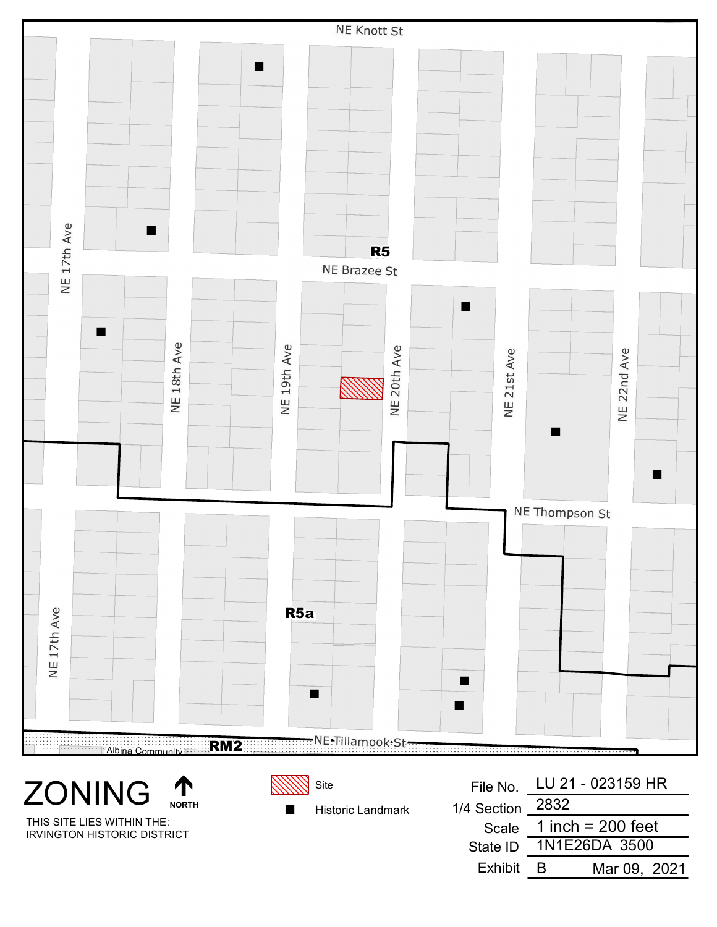

IRVINGTON HISTORIC DISTRICT

Scale State ID Exhibit 1N1E26DA 3500 B Mar 09, 2021 1 inch = 200 feet